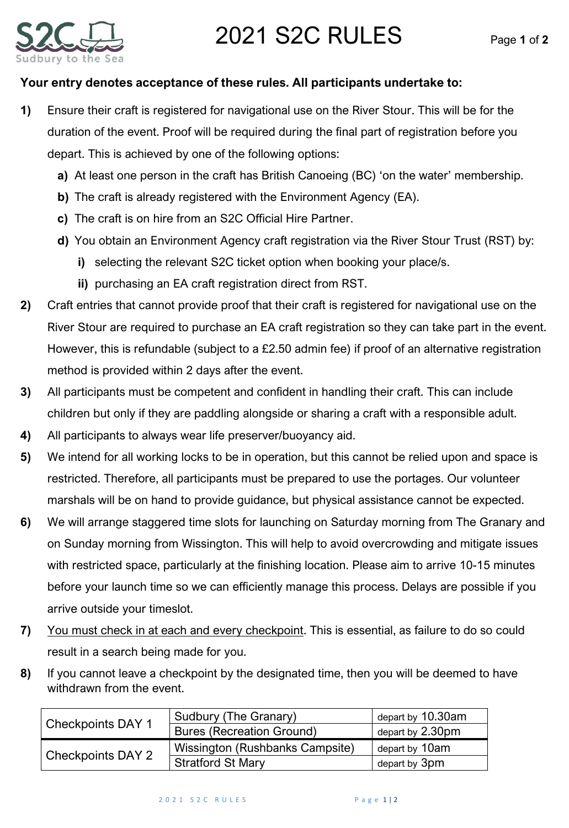## 2021 S2C RULES Page **<sup>1</sup>** of **<sup>2</sup>**



## **Your entry denotes acceptance of these rules. All participants undertake to:**

- **1)** Ensure their craft is registered for navigational use on the River Stour. This will be for the duration of the event. Proof will be required during the final part of registration before you depart. This is achieved by one of the following options:
	- **a)** At least one person in the craft has British Canoeing (BC) 'on the water' membership.
	- **b)** The craft is already registered with the Environment Agency (EA).
	- **c)** The craft is on hire from an S2C Official Hire Partner.
	- **d)** You obtain an Environment Agency craft registration via the River Stour Trust (RST) by:
		- **i)** selecting the relevant S2C ticket option when booking your place/s.
		- **ii)** purchasing an EA craft registration direct from RST.
- **2)** Craft entries that cannot provide proof that their craft is registered for navigational use on the River Stour are required to purchase an EA craft registration so they can take part in the event. However, this is refundable (subject to a £2.50 admin fee) if proof of an alternative registration method is provided within 2 days after the event.
- **3)** All participants must be competent and confident in handling their craft. This can include children but only if they are paddling alongside or sharing a craft with a responsible adult.
- **4)** All participants to always wear life preserver/buoyancy aid.
- **5)** We intend for all working locks to be in operation, but this cannot be relied upon and space is restricted. Therefore, all participants must be prepared to use the portages. Our volunteer marshals will be on hand to provide guidance, but physical assistance cannot be expected.
- **6)** We will arrange staggered time slots for launching on Saturday morning from The Granary and on Sunday morning from Wissington. This will help to avoid overcrowding and mitigate issues with restricted space, particularly at the finishing location. Please aim to arrive 10-15 minutes before your launch time so we can efficiently manage this process. Delays are possible if you arrive outside your timeslot.
- **7)** You must check in at each and every checkpoint. This is essential, as failure to do so could result in a search being made for you.
- **8)** If you cannot leave a checkpoint by the designated time, then you will be deemed to have withdrawn from the event.

| <b>Checkpoints DAY 1</b> | Sudbury (The Granary)            | depart by 10.30am |
|--------------------------|----------------------------------|-------------------|
|                          | <b>Bures (Recreation Ground)</b> | depart by 2.30pm  |
| <b>Checkpoints DAY 2</b> | Wissington (Rushbanks Campsite)  | depart by 10am    |
|                          | <b>Stratford St Mary</b>         | depart by 3pm     |